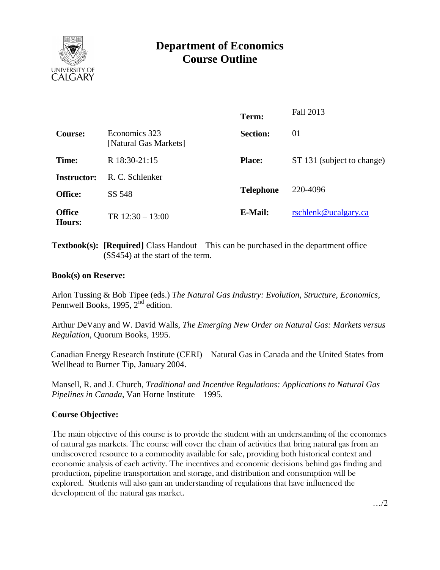

# **Department of Economics Course Outline**

|                                        | Term:            | Fall 2013                  |
|----------------------------------------|------------------|----------------------------|
| Economics 323<br>[Natural Gas Markets] | <b>Section:</b>  | 01                         |
| R 18:30-21:15                          | <b>Place:</b>    | ST 131 (subject to change) |
| R. C. Schlenker                        |                  |                            |
| SS 548                                 | <b>Telephone</b> | 220-4096                   |
| TR $12:30 - 13:00$                     | E-Mail:          | rschlenk@ucalgary.ca       |
|                                        |                  |                            |

**Textbook(s): [Required]** Class Handout – This can be purchased in the department office (SS454) at the start of the term.

### **Book(s) on Reserve:**

Arlon Tussing & Bob Tipee (eds.) *The Natural Gas Industry: Evolution, Structure, Economics*, Pennwell Books, 1995,  $2^{nd}$  edition.

Arthur DeVany and W. David Walls, *The Emerging New Order on Natural Gas: Markets versus Regulation*, Quorum Books, 1995.

Canadian Energy Research Institute (CERI) – Natural Gas in Canada and the United States from Wellhead to Burner Tip, January 2004.

Mansell, R. and J. Church, *Traditional and Incentive Regulations: Applications to Natural Gas Pipelines in Canada*, Van Horne Institute – 1995.

# **Course Objective:**

The main objective of this course is to provide the student with an understanding of the economics of natural gas markets. The course will cover the chain of activities that bring natural gas from an undiscovered resource to a commodity available for sale, providing both historical context and economic analysis of each activity. The incentives and economic decisions behind gas finding and production, pipeline transportation and storage, and distribution and consumption will be explored. Students will also gain an understanding of regulations that have influenced the development of the natural gas market.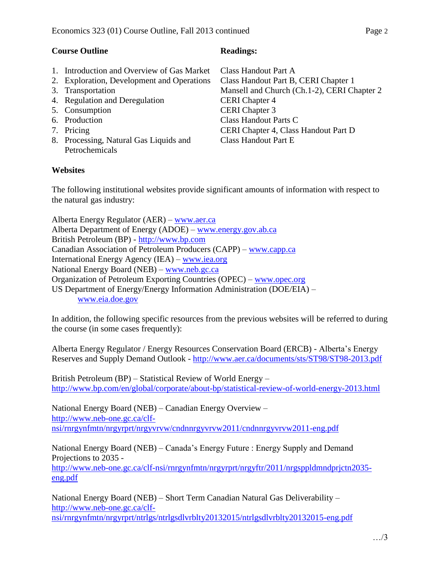- 1. Introduction and Overview of Gas Market
- 2. Exploration, Development and Operations
- 3. Transportation
- 4. Regulation and Deregulation
- 5. Consumption
- 6. Production
- 7. Pricing
- 8. Processing, Natural Gas Liquids and Petrochemicals

# **Websites**

Class Handout Part A Class Handout Part B, CERI Chapter 1 Mansell and Church (Ch.1-2), CERI Chapter 2 CERI Chapter 4 CERI Chapter 3 Class Handout Parts C CERI Chapter 4, Class Handout Part D Class Handout Part E

The following institutional websites provide significant amounts of information with respect to the natural gas industry:

Alberta Energy Regulator (AER) – [www.aer.ca](http://www.aer.ca/) Alberta Department of Energy (ADOE) – [www.energy.gov.ab.ca](http://www.energy.gov.ab.ca/) British Petroleum (BP) - [http://www.bp.com](http://www.bp.com/) Canadian Association of Petroleum Producers (CAPP) – [www.capp.ca](http://www.capp.ca/) International Energy Agency (IEA) – [www.iea.org](http://www.iea.org/) National Energy Board (NEB) – [www.neb.gc.ca](http://www.neb.gc.ca/) Organization of Petroleum Exporting Countries (OPEC) – [www.opec.org](http://www.opec.org/) US Department of Energy/Energy Information Administration (DOE/EIA) – [www.eia.doe.gov](http://www.eia.doe.gov/)

In addition, the following specific resources from the previous websites will be referred to during the course (in some cases frequently):

Alberta Energy Regulator / Energy Resources Conservation Board (ERCB) - Alberta's Energy Reserves and Supply Demand Outlook - <http://www.aer.ca/documents/sts/ST98/ST98-2013.pdf>

British Petroleum (BP) – Statistical Review of World Energy – <http://www.bp.com/en/global/corporate/about-bp/statistical-review-of-world-energy-2013.html>

National Energy Board (NEB) – Canadian Energy Overview – [http://www.neb-one.gc.ca/clf](http://www.neb-one.gc.ca/clf-nsi/rnrgynfmtn/nrgyrprt/nrgyvrvw/cndnnrgyvrvw2011/cndnnrgyvrvw2011-eng.pdf)[nsi/rnrgynfmtn/nrgyrprt/nrgyvrvw/cndnnrgyvrvw2011/cndnnrgyvrvw2011-eng.pdf](http://www.neb-one.gc.ca/clf-nsi/rnrgynfmtn/nrgyrprt/nrgyvrvw/cndnnrgyvrvw2011/cndnnrgyvrvw2011-eng.pdf)

National Energy Board (NEB) – Canada's Energy Future : Energy Supply and Demand Projections to 2035 -

[http://www.neb-one.gc.ca/clf-nsi/rnrgynfmtn/nrgyrprt/nrgyftr/2011/nrgsppldmndprjctn2035](http://www.neb-one.gc.ca/clf-nsi/rnrgynfmtn/nrgyrprt/nrgyftr/2011/nrgsppldmndprjctn2035-eng.pdf) [eng.pdf](http://www.neb-one.gc.ca/clf-nsi/rnrgynfmtn/nrgyrprt/nrgyftr/2011/nrgsppldmndprjctn2035-eng.pdf)

National Energy Board (NEB) – Short Term Canadian Natural Gas Deliverability – [http://www.neb-one.gc.ca/clf](http://www.neb-one.gc.ca/clf-nsi/rnrgynfmtn/nrgyrprt/ntrlgs/ntrlgsdlvrblty20132015/ntrlgsdlvrblty20132015-eng.pdf)[nsi/rnrgynfmtn/nrgyrprt/ntrlgs/ntrlgsdlvrblty20132015/ntrlgsdlvrblty20132015-eng.pdf](http://www.neb-one.gc.ca/clf-nsi/rnrgynfmtn/nrgyrprt/ntrlgs/ntrlgsdlvrblty20132015/ntrlgsdlvrblty20132015-eng.pdf)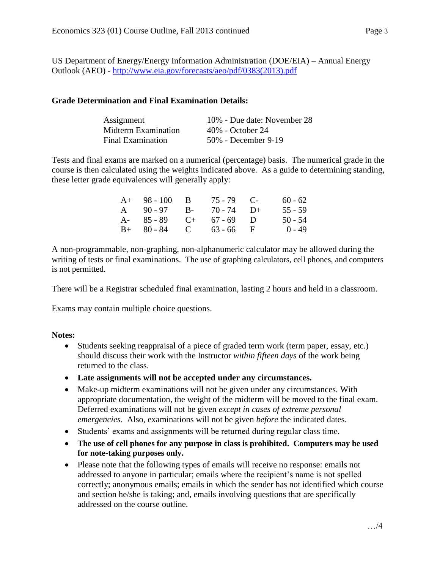US Department of Energy/Energy Information Administration (DOE/EIA) – Annual Energy Outlook (AEO) - [http://www.eia.gov/forecasts/aeo/pdf/0383\(2013\).pdf](http://www.eia.gov/forecasts/aeo/pdf/0383(2013).pdf)

### **Grade Determination and Final Examination Details:**

| Assignment               | 10% - Due date: November 28 |
|--------------------------|-----------------------------|
| Midterm Examination      | 40% - October 24            |
| <b>Final Examination</b> | 50% - December 9-19         |

Tests and final exams are marked on a numerical (percentage) basis. The numerical grade in the course is then calculated using the weights indicated above. As a guide to determining standing, these letter grade equivalences will generally apply:

| $A+ 98-100 B$           | $75 - 79$ C- | $60 - 62$ |
|-------------------------|--------------|-----------|
| A $90-97$ B- $70-74$ D+ |              | $55 - 59$ |
| A- $85-89$ C+ $67-69$ D |              | $50 - 54$ |
| $B+ 80-84$ C 63-66 F    |              | $0 - 49$  |

A non-programmable, non-graphing, non-alphanumeric calculator may be allowed during the writing of tests or final examinations. The use of graphing calculators, cell phones, and computers is not permitted.

There will be a Registrar scheduled final examination, lasting 2 hours and held in a classroom.

Exams may contain multiple choice questions.

### **Notes:**

- Students seeking reappraisal of a piece of graded term work (term paper, essay, etc.) should discuss their work with the Instructor *within fifteen days* of the work being returned to the class.
- **Late assignments will not be accepted under any circumstances.**
- Make-up midterm examinations will not be given under any circumstances. With appropriate documentation, the weight of the midterm will be moved to the final exam. Deferred examinations will not be given *except in cases of extreme personal emergencies*. Also, examinations will not be given *before* the indicated dates.
- Students' exams and assignments will be returned during regular class time.
- **The use of cell phones for any purpose in class is prohibited. Computers may be used for note-taking purposes only.**
- Please note that the following types of emails will receive no response: emails not addressed to anyone in particular; emails where the recipient's name is not spelled correctly; anonymous emails; emails in which the sender has not identified which course and section he/she is taking; and, emails involving questions that are specifically addressed on the course outline.